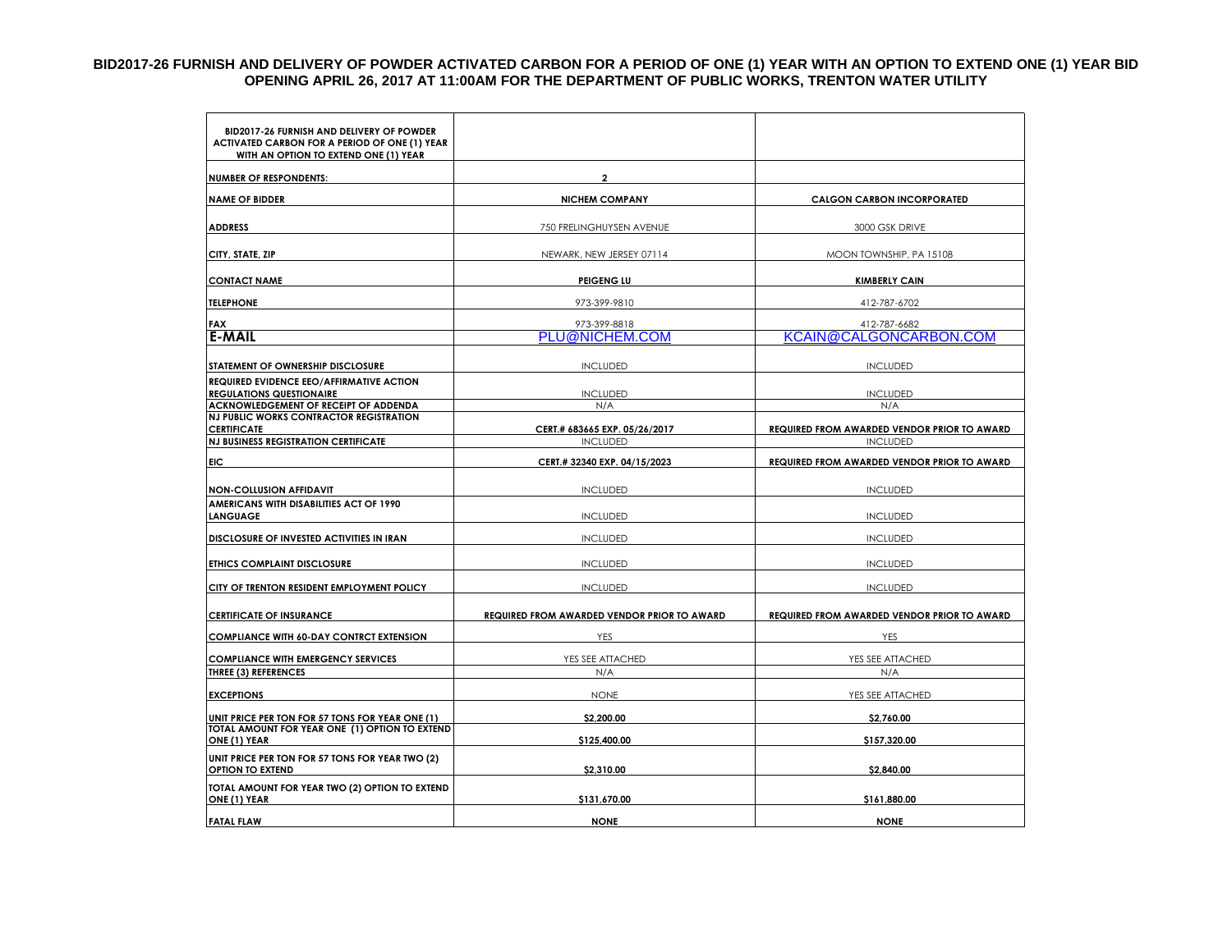## **BID2017-26 FURNISH AND DELIVERY OF POWDER ACTIVATED CARBON FOR A PERIOD OF ONE (1) YEAR WITH AN OPTION TO EXTEND ONE (1) YEAR BID OPENING APRIL 26, 2017 AT 11:00AM FOR THE DEPARTMENT OF PUBLIC WORKS, TRENTON WATER UTILITY**

| BID2017-26 FURNISH AND DELIVERY OF POWDER<br>ACTIVATED CARBON FOR A PERIOD OF ONE (1) YEAR<br>WITH AN OPTION TO EXTEND ONE (1) YEAR |                                                            |                                                    |  |
|-------------------------------------------------------------------------------------------------------------------------------------|------------------------------------------------------------|----------------------------------------------------|--|
| <b>NUMBER OF RESPONDENTS:</b>                                                                                                       | $\overline{2}$                                             |                                                    |  |
| <b>NAME OF BIDDER</b>                                                                                                               | <b>NICHEM COMPANY</b><br><b>CALGON CARBON INCORPORATED</b> |                                                    |  |
| <b>ADDRESS</b>                                                                                                                      | 750 FRELINGHUYSEN AVENUE                                   | 3000 GSK DRIVE                                     |  |
| CITY, STATE, ZIP                                                                                                                    | NEWARK, NEW JERSEY 07114                                   | MOON TOWNSHIP, PA 15108                            |  |
| <b>CONTACT NAME</b>                                                                                                                 | <b>PEIGENG LU</b>                                          | <b>KIMBERLY CAIN</b>                               |  |
| <b>TELEPHONE</b>                                                                                                                    | 973-399-9810                                               | 412-787-6702                                       |  |
| <b>FAX</b><br><b>E-MAIL</b>                                                                                                         | 973-399-8818<br>PLU@NICHEM.COM                             | 412-787-6682<br>KCAIN@CALGONCARBON.COM             |  |
| STATEMENT OF OWNERSHIP DISCLOSURE                                                                                                   | <b>INCLUDED</b>                                            | <b>INCLUDED</b>                                    |  |
| REQUIRED EVIDENCE EEO/AFFIRMATIVE ACTION<br><b>REGULATIONS QUESTIONAIRE</b>                                                         | <b>INCLUDED</b>                                            | <b>INCLUDED</b>                                    |  |
| ACKNOWLEDGEMENT OF RECEIPT OF ADDENDA<br><b>NJ PUBLIC WORKS CONTRACTOR REGISTRATION</b><br><b>CERTIFICATE</b>                       | N/A<br>CERT.# 683665 EXP. 05/26/2017                       | N/A<br>REQUIRED FROM AWARDED VENDOR PRIOR TO AWARD |  |
| <b>NJ BUSINESS REGISTRATION CERTIFICATE</b>                                                                                         | <b>INCLUDED</b>                                            | <b>INCLUDED</b>                                    |  |
| <b>FIC</b>                                                                                                                          | CERT.# 32340 EXP. 04/15/2023                               | REQUIRED FROM AWARDED VENDOR PRIOR TO AWARD        |  |
| <b>NON-COLLUSION AFFIDAVIT</b>                                                                                                      | <b>INCLUDED</b>                                            | <b>INCLUDED</b>                                    |  |
| AMERICANS WITH DISABILITIES ACT OF 1990<br><b>LANGUAGE</b>                                                                          | <b>INCLUDED</b>                                            | <b>INCLUDED</b>                                    |  |
| DISCLOSURE OF INVESTED ACTIVITIES IN IRAN                                                                                           | <b>INCLUDED</b>                                            | <b>INCLUDED</b>                                    |  |
| ETHICS COMPLAINT DISCLOSURE                                                                                                         | <b>INCLUDED</b>                                            | <b>INCLUDED</b>                                    |  |
| CITY OF TRENTON RESIDENT EMPLOYMENT POLICY                                                                                          | <b>INCLUDED</b>                                            | <b>INCLUDED</b>                                    |  |
| <b>CERTIFICATE OF INSURANCE</b>                                                                                                     | REQUIRED FROM AWARDED VENDOR PRIOR TO AWARD                | REQUIRED FROM AWARDED VENDOR PRIOR TO AWARD        |  |
| <b>COMPLIANCE WITH 60-DAY CONTRCT EXTENSION</b>                                                                                     | YES                                                        | YES                                                |  |
| <b>COMPLIANCE WITH EMERGENCY SERVICES</b><br><b>THREE (3) REFERENCES</b>                                                            | YES SEE ATTACHED<br>N/A                                    | YES SEE ATTACHED                                   |  |
| <b>EXCEPTIONS</b>                                                                                                                   | <b>NONE</b>                                                | N/A<br>YES SEE ATTACHED                            |  |
| UNIT PRICE PER TON FOR 57 TONS FOR YEAR ONE (1)                                                                                     | \$2,200.00                                                 | \$2,760.00                                         |  |
| TOTAL AMOUNT FOR YEAR ONE (1) OPTION TO EXTEND<br>ONE (1) YEAR                                                                      | \$125,400.00                                               | \$157,320.00                                       |  |
| UNIT PRICE PER TON FOR 57 TONS FOR YEAR TWO (2)<br><b>OPTION TO EXTEND</b>                                                          | \$2,310.00                                                 | \$2,840.00                                         |  |
| TOTAL AMOUNT FOR YEAR TWO (2) OPTION TO EXTEND<br>ONE (1) YEAR                                                                      | \$131,670.00                                               | \$161,880.00                                       |  |
| <b>FATAL FLAW</b>                                                                                                                   | <b>NONE</b>                                                | <b>NONE</b>                                        |  |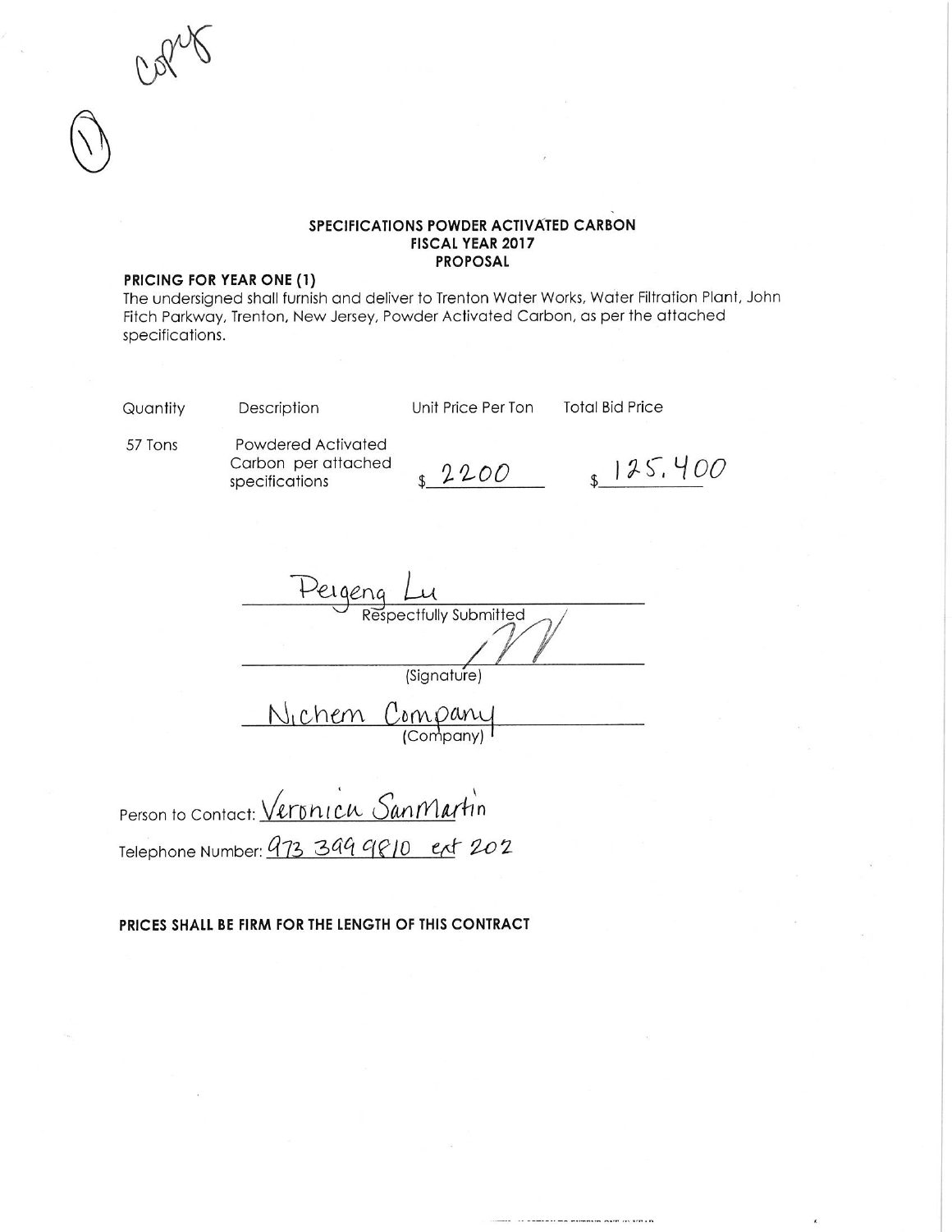### SPECIFICATIONS POWDER ACTIVATED CARBON **FISCAL YEAR 2017 PROPOSAL**

#### PRICING FOR YEAR ONE (1)

The undersigned shall furnish and deliver to Trenton Water Works, Water Filtration Plant, John Fitch Parkway, Trenton, New Jersey, Powder Activated Carbon, as per the attached specifications.

Quantity

Description

Unit Price Per Ton

**Total Bid Price** 

57 Tons

Powdered Activated Carbon per attached specifications

2200

 $125,400$ 

bectfully Submitted (Signature) Nichem Company

Person to Contact: Veronicu Sanmartin Telephone Number: 473 344 9810 ext 202

PRICES SHALL BE FIRM FOR THE LENGTH OF THIS CONTRACT